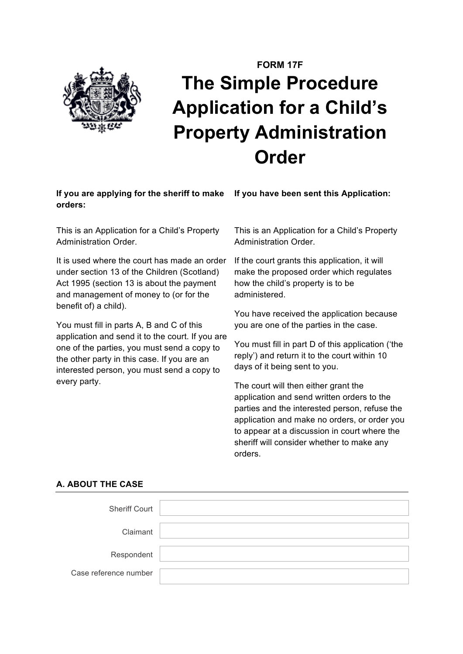

# **FORM 17F The Simple Procedure Application for a Child's Property Administration Order**

# **If you are applying for the sheriff to make orders:**

This is an Application for a Child's Property Administration Order.

It is used where the court has made an order under section 13 of the Children (Scotland) Act 1995 (section 13 is about the payment and management of money to (or for the benefit of) a child).

You must fill in parts A, B and C of this application and send it to the court. If you are one of the parties, you must send a copy to the other party in this case. If you are an interested person, you must send a copy to every party.

This is an Application for a Child's Property Administration Order.

**If you have been sent this Application:**

If the court grants this application, it will make the proposed order which regulates how the child's property is to be administered.

You have received the application because you are one of the parties in the case.

You must fill in part D of this application ('the reply') and return it to the court within 10 days of it being sent to you.

The court will then either grant the application and send written orders to the parties and the interested person, refuse the application and make no orders, or order you to appear at a discussion in court where the sheriff will consider whether to make any orders.

# **A. ABOUT THE CASE**

| <b>Sheriff Court</b>  |  |
|-----------------------|--|
| Claimant              |  |
| Respondent            |  |
| Case reference number |  |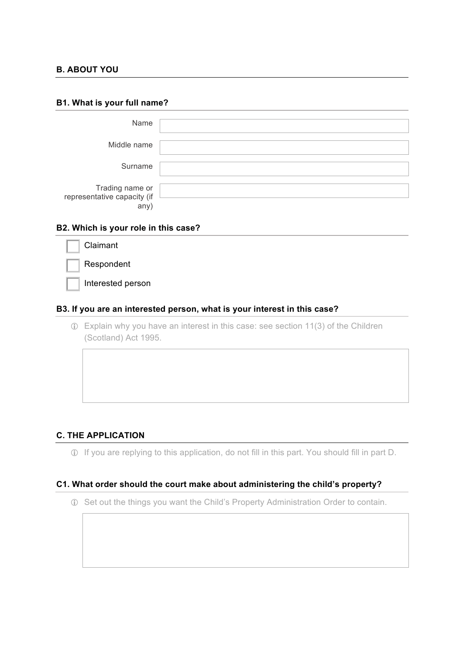# **B. ABOUT YOU**

#### **B1. What is your full name?**

| Name                                                  |  |
|-------------------------------------------------------|--|
| Middle name                                           |  |
| Surname                                               |  |
| Trading name or<br>representative capacity (if<br>any |  |

# **B2. Which is your role in this case?**

| Claimant          |
|-------------------|
| Respondent        |
| Interested person |

# **B3. If you are an interested person, what is your interest in this case?**

! Explain why you have an interest in this case: see section 11(3) of the Children (Scotland) Act 1995.

# **C. THE APPLICATION**

! If you are replying to this application, do not fill in this part. You should fill in part D.

#### **C1. What order should the court make about administering the child's property?**

! Set out the things you want the Child's Property Administration Order to contain.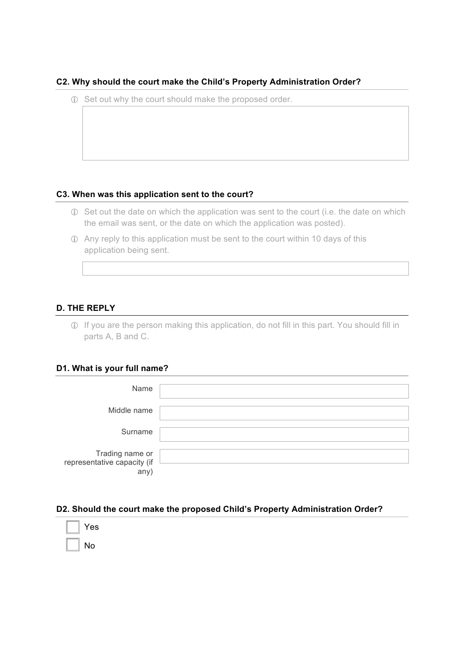# **C2. Why should the court make the Child's Property Administration Order?**

! Set out why the court should make the proposed order.

# **C3. When was this application sent to the court?**

- ! Set out the date on which the application was sent to the court (i.e. the date on which the email was sent, or the date on which the application was posted).
- ! Any reply to this application must be sent to the court within 10 days of this application being sent.

# **D. THE REPLY**

! If you are the person making this application, do not fill in this part. You should fill in parts A, B and C.

# **D1. What is your full name?**

| Name                                                   |  |
|--------------------------------------------------------|--|
| Middle name                                            |  |
| Surname                                                |  |
| Trading name or<br>representative capacity (if<br>any) |  |

# **D2. Should the court make the proposed Child's Property Administration Order?**